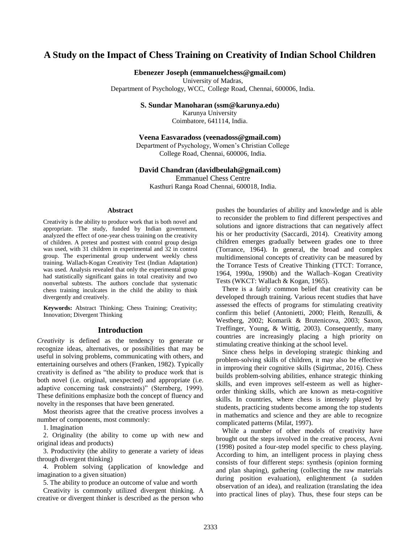# **A Study on the Impact of Chess Training on Creativity of Indian School Children**

## **Ebenezer Joseph (emmanuelchess@gmail.com)**

University of Madras,

Department of Psychology, WCC, College Road, Chennai, 600006, India.

**S. Sundar Manoharan (ssm@karunya.edu)**

Karunya University Coimbatore, 641114, India.

#### **Veena Easvaradoss (veenadoss@gmail.com)**

Department of Psychology, Women's Christian College College Road, Chennai, 600006, India.

#### **David Chandran (davidbeulah@gmail.com)**

Emmanuel Chess Centre

Kasthuri Ranga Road Chennai, 600018, India.

### **Abstract**

Creativity is the ability to produce work that is both novel and appropriate. The study, funded by Indian government, analyzed the effect of one-year chess training on the creativity of children. A pretest and posttest with control group design was used, with 31 children in experimental and 32 in control group. The experimental group underwent weekly chess training. Wallach-Kogan Creativity Test (Indian Adaptation) was used. Analysis revealed that only the experimental group had statistically significant gains in total creativity and two nonverbal subtests. The authors conclude that systematic chess training inculcates in the child the ability to think divergently and creatively.

**Keywords:** Abstract Thinking; Chess Training; Creativity; Innovation; Divergent Thinking

## **Introduction**

*Creativity* is defined as the tendency to generate or recognize ideas, alternatives, or possibilities that may be useful in solving problems, communicating with others, and entertaining ourselves and others (Franken, 1982). Typically creativity is defined as "the ability to produce work that is both novel (i.e. original, unexpected) and appropriate (i.e. adaptive concerning task constraints)" (Sternberg, 1999). These definitions emphasize both the concept of fluency and novelty in the responses that have been generated.

Most theorists agree that the creative process involves a number of components, most commonly:

1. Imagination

2. Originality (the ability to come up with new and original ideas and products)

3. Productivity (the ability to generate a variety of ideas through divergent thinking)

4. Problem solving (application of knowledge and imagination to a given situation)

5. The ability to produce an outcome of value and worth

Creativity is commonly utilized divergent thinking. A creative or divergent thinker is described as the person who pushes the boundaries of ability and knowledge and is able to reconsider the problem to find different perspectives and solutions and ignore distractions that can negatively affect his or her productivity (Saccardi, 2014). Creativity among children emerges gradually between grades one to three (Torrance, 1964). In general, the broad and complex multidimensional concepts of creativity can be measured by the Torrance Tests of Creative Thinking (TTCT: Torrance, 1964, 1990a, 1990b) and the Wallach–Kogan Creativity Tests (WKCT: Wallach & Kogan, 1965).

There is a fairly common belief that creativity can be developed through training. Various recent studies that have assessed the effects of programs for stimulating creativity confirm this belief (Antonietti, 2000; Fleith, Renzulli, & Westberg, 2002; Komarik & Brutenicova, 2003; Saxon, Treffinger, Young, & Wittig, 2003). Consequently, many countries are increasingly placing a high priority on stimulating creative thinking at the school level.

Since chess helps in developing strategic thinking and problem-solving skills of children, it may also be effective in improving their cognitive skills (Sigirtmac, 2016). Chess builds problem-solving abilities, enhance strategic thinking skills, and even improves self-esteem as well as higherorder thinking skills, which are known as meta-cognitive skills. In countries, where chess is intensely played by students, practicing students become among the top students in mathematics and science and they are able to recognize complicated patterns (Milat, 1997).

While a number of other models of creativity have brought out the steps involved in the creative process, Avni (1998) posited a four-step model specific to chess playing. According to him, an intelligent process in playing chess consists of four different steps: synthesis (opinion forming and plan shaping), gathering (collecting the raw materials during position evaluation), enlightenment (a sudden observation of an idea), and realization (translating the idea into practical lines of play). Thus, these four steps can be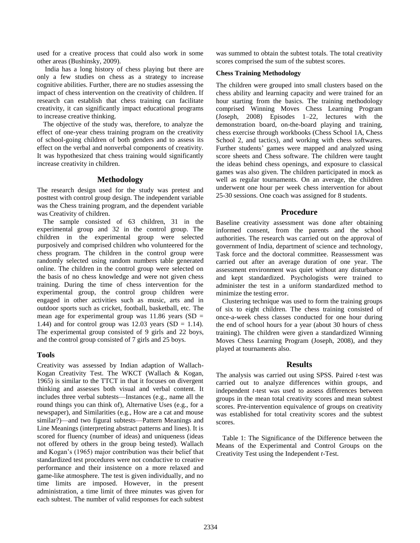used for a creative process that could also work in some other areas (Bushinsky, 2009).

India has a long history of chess playing but there are only a few studies on chess as a strategy to increase cognitive abilities. Further, there are no studies assessing the impact of chess intervention on the creativity of children. If research can establish that chess training can facilitate creativity, it can significantly impact educational programs to increase creative thinking.

The objective of the study was, therefore, to analyze the effect of one-year chess training program on the creativity of school-going children of both genders and to assess its effect on the verbal and nonverbal components of creativity. It was hypothesized that chess training would significantly increase creativity in children.

## **Methodology**

The research design used for the study was pretest and posttest with control group design. The independent variable was the Chess training program, and the dependent variable was Creativity of children.

The sample consisted of 63 children, 31 in the experimental group and 32 in the control group. The children in the experimental group were selected purposively and comprised children who volunteered for the chess program. The children in the control group were randomly selected using random numbers table generated online. The children in the control group were selected on the basis of no chess knowledge and were not given chess training. During the time of chess intervention for the experimental group, the control group children were engaged in other activities such as music, arts and in outdoor sports such as cricket, football, basketball, etc. The mean age for experimental group was  $11.86$  years (SD = 1.44) and for control group was 12.03 years (SD = 1.14). The experimental group consisted of 9 girls and 22 boys, and the control group consisted of 7 girls and 25 boys.

# **Tools**

Creativity was assessed by Indian adaption of Wallach-Kogan Creativity Test. The WKCT (Wallach & Kogan, 1965) is similar to the TTCT in that it focuses on divergent thinking and assesses both visual and verbal content. It includes three verbal subtests—Instances (e.g., name all the round things you can think of), Alternative Uses (e.g., for a newspaper), and Similarities (e.g., How are a cat and mouse similar?)—and two figural subtests—Pattern Meanings and Line Meanings (interpreting abstract patterns and lines). It is scored for fluency (number of ideas) and uniqueness (ideas not offered by others in the group being tested). Wallach and Kogan's (1965) major contribution was their belief that standardized test procedures were not conductive to creative performance and their insistence on a more relaxed and game-like atmosphere. The test is given individually, and no time limits are imposed. However, in the present administration, a time limit of three minutes was given for each subtest. The number of valid responses for each subtest

was summed to obtain the subtest totals. The total creativity scores comprised the sum of the subtest scores.

### **Chess Training Methodology**

The children were grouped into small clusters based on the chess ability and learning capacity and were trained for an hour starting from the basics. The training methodology comprised Winning Moves Chess Learning Program (Joseph, 2008) Episodes 1–22, lectures with the demonstration board, on-the-board playing and training, chess exercise through workbooks (Chess School 1A, Chess School 2, and tactics), and working with chess softwares. Further students' games were mapped and analyzed using score sheets and Chess software. The children were taught the ideas behind chess openings, and exposure to classical games was also given. The children participated in mock as well as regular tournaments. On an average, the children underwent one hour per week chess intervention for about 25-30 sessions. One coach was assigned for 8 students.

## **Procedure**

Baseline creativity assessment was done after obtaining informed consent, from the parents and the school authorities. The research was carried out on the approval of government of India, department of science and technology, Task force and the doctoral committee. Reassessment was carried out after an average duration of one year. The assessment environment was quiet without any disturbance and kept standardized. Psychologists were trained to administer the test in a uniform standardized method to minimize the testing error.

Clustering technique was used to form the training groups of six to eight children. The chess training consisted of once-a-week chess classes conducted for one hour during the end of school hours for a year (about 30 hours of chess training). The children were given a standardized Winning Moves Chess Learning Program (Joseph, 2008), and they played at tournaments also.

### **Results**

The analysis was carried out using SPSS. Paired *t*-test was carried out to analyze differences within groups, and independent *t*-test was used to assess differences between groups in the mean total creativity scores and mean subtest scores. Pre-intervention equivalence of groups on creativity was established for total creativity scores and the subtest scores.

Table 1: The Significance of the Difference between the Means of the Experimental and Control Groups on the Creativity Test using the Independent *t*-Test.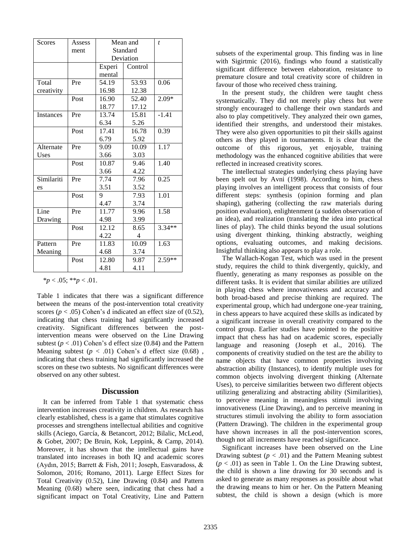| Scores                   | Assess | Mean and  |         | $\boldsymbol{t}$ |
|--------------------------|--------|-----------|---------|------------------|
|                          | ment   | Standard  |         |                  |
|                          |        | Deviation |         |                  |
|                          |        | Experi    | Control |                  |
|                          |        | mental    |         |                  |
| Total                    | Pre    | 54.19     | 53.93   | 0.06             |
| creativity               |        | 16.98     | 12.38   |                  |
|                          | Post   | 16.90     | 52.40   | $2.09*$          |
|                          |        | 18.77     | 17.12   |                  |
| Instances                | Pre    | 13.74     | 15.81   | $-1.41$          |
|                          |        | 6.34      | 5.26    |                  |
|                          | Post   | 17.41     | 16.78   | 0.39             |
|                          |        | 6.79      | 5.92    |                  |
| Alternate                | Pre    | 9.09      | 10.09   | 1.17             |
| Uses                     |        | 3.66      | 3.03    |                  |
|                          | Post   | 10.87     | 9.46    | 1.40             |
|                          |        | 3.66      | 4.22    |                  |
| Similariti               | Pre    | 7.74      | 7.96    | 0.25             |
| es                       |        | 3.51      | 3.52    |                  |
|                          | Post   | 9         | 7.93    | 1.01             |
|                          |        | 4.47      | 3.74    |                  |
| $\overline{\text{Line}}$ | Pre    | 11.77     | 9.96    | 1.58             |
| Drawing                  |        | 4.98      | 3.99    |                  |
|                          | Post   | 12.12     | 8.65    | $3.34**$         |
|                          |        | 4.22      | 4       |                  |
| Pattern                  | Pre    | 11.83     | 10.09   | 1.63             |
| Meaning                  |        | 4.68      | 3.74    |                  |
|                          | Post   | 12.80     | 9.87    | $2.59**$         |
|                          |        | 4.81      | 4.11    |                  |

 $**p* < .05; ***p* < .01.$ 

Table 1 indicates that there was a significant difference between the means of the post-intervention total creativity scores ( $p < .05$ ) Cohen's d indicated an effect size of (0.52), indicating that chess training had significantly increased creativity. Significant differences between the postintervention means were observed on the Line Drawing subtest  $(p < .01)$  Cohen's d effect size  $(0.84)$  and the Pattern Meaning subtest  $(p < .01)$  Cohen's d effect size  $(0.68)$ , indicating that chess training had significantly increased the scores on these two subtests. No significant differences were observed on any other subtest.

#### **Discussion**

It can be inferred from Table 1 that systematic chess intervention increases creativity in children. As research has clearly established, chess is a game that stimulates cognitive processes and strengthens intellectual abilities and cognitive skills (Aciego, García, & Betancort, 2012; Bilalic, McLeod, & Gobet, 2007; De Bruin, Kok, Leppink, & Camp, 2014). Moreover, it has shown that the intellectual gains have translated into increases in both IQ and academic scores (Aydın, 2015; Barrett & Fish, 2011; Joseph, Easvaradoss, & Solomon, 2016; Romano, 2011). Large Effect Sizes for Total Creativity (0.52), Line Drawing (0.84) and Pattern Meaning (0.68) where seen, indicating that chess had a significant impact on Total Creativity, Line and Pattern subsets of the experimental group. This finding was in line with Sigirtmic (2016), findings who found a statistically significant difference between elaboration, resistance to premature closure and total creativity score of children in favour of those who received chess training.

In the present study, the children were taught chess systematically. They did not merely play chess but were strongly encouraged to challenge their own standards and also to play competitively. They analyzed their own games, identified their strengths, and understood their mistakes. They were also given opportunities to pit their skills against others as they played in tournaments. It is clear that the outcome of this rigorous, yet enjoyable, training methodology was the enhanced cognitive abilities that were reflected in increased creativity scores.

The intellectual strategies underlying chess playing have been spelt out by Avni (1998). According to him, chess playing involves an intelligent process that consists of four different steps: synthesis (opinion forming and plan shaping), gathering (collecting the raw materials during position evaluation), enlightenment (a sudden observation of an idea), and realization (translating the idea into practical lines of play). The child thinks beyond the usual solutions using divergent thinking, thinking abstractly, weighing options, evaluating outcomes, and making decisions. Insightful thinking also appears to play a role.

The Wallach-Kogan Test, which was used in the present study, requires the child to think divergently, quickly, and fluently, generating as many responses as possible on the different tasks. It is evident that similar abilities are utilized in playing chess where innovativeness and accuracy and both broad-based and precise thinking are required. The experimental group, which had undergone one-year training, in chess appears to have acquired these skills as indicated by a significant increase in overall creativity compared to the control group. Earlier studies have pointed to the positive impact that chess has had on academic scores, especially language and reasoning (Joseph et al., 2016). The components of creativity studied on the test are the ability to name objects that have common properties involving abstraction ability (Instances), to identify multiple uses for common objects involving divergent thinking (Alternate Uses), to perceive similarities between two different objects utilizing generalizing and abstracting ability (Similarities), to perceive meaning in meaningless stimuli involving innovativeness (Line Drawing), and to perceive meaning in structures stimuli involving the ability to form association (Pattern Drawing). The children in the experimental group have shown increases in all the post-intervention scores, though not all increments have reached significance.

Significant increases have been observed on the Line Drawing subtest  $(p < .01)$  and the Pattern Meaning subtest  $(p < .01)$  as seen in Table 1. On the Line Drawing subtest, the child is shown a line drawing for 30 seconds and is asked to generate as many responses as possible about what the drawing means to him or her. On the Pattern Meaning subtest, the child is shown a design (which is more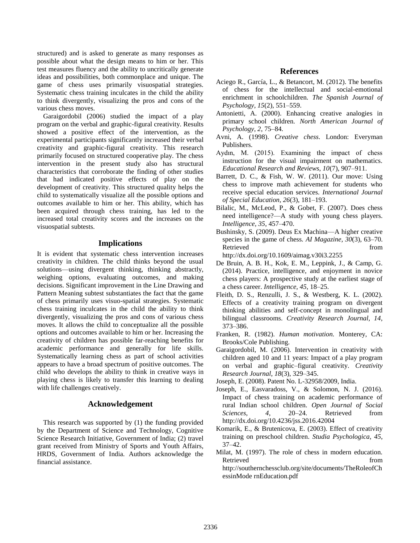structured) and is asked to generate as many responses as possible about what the design means to him or her. This test measures fluency and the ability to uncritically generate ideas and possibilities, both commonplace and unique. The game of chess uses primarily visuospatial strategies. Systematic chess training inculcates in the child the ability to think divergently, visualizing the pros and cons of the various chess moves.

Garaigordobil (2006) studied the impact of a play program on the verbal and graphic-figural creativity. Results showed a positive effect of the intervention, as the experimental participants significantly increased their verbal creativity and graphic-figural creativity. This research primarily focused on structured cooperative play. The chess intervention in the present study also has structural characteristics that corroborate the finding of other studies that had indicated positive effects of play on the development of creativity. This structured quality helps the child to systematically visualize all the possible options and outcomes available to him or her. This ability, which has been acquired through chess training, has led to the increased total creativity scores and the increases on the visuospatial subtests.

# **Implications**

It is evident that systematic chess intervention increases creativity in children. The child thinks beyond the usual solutions—using divergent thinking, thinking abstractly, weighing options, evaluating outcomes, and making decisions. Significant improvement in the Line Drawing and Pattern Meaning subtest substantiates the fact that the game of chess primarily uses visuo-spatial strategies. Systematic chess training inculcates in the child the ability to think divergently, visualizing the pros and cons of various chess moves. It allows the child to conceptualize all the possible options and outcomes available to him or her. Increasing the creativity of children has possible far-reaching benefits for academic performance and generally for life skills. Systematically learning chess as part of school activities appears to have a broad spectrum of positive outcomes. The child who develops the ability to think in creative ways in playing chess is likely to transfer this learning to dealing with life challenges creatively.

# **Acknowledgement**

This research was supported by (1) the funding provided by the Department of Science and Technology, Cognitive Science Research Initiative, Government of India; (2) travel grant received from Ministry of Sports and Youth Affairs, HRDS, Government of India. Authors acknowledge the financial assistance.

## **References**

- Aciego R., García, L., & Betancort, M. (2012). The benefits of chess for the intellectual and social-emotional enrichment in schoolchildren. *The Spanish Journal of Psychology, 15*(2), 551–559.
- Antonietti, A. (2000). Enhancing creative analogies in primary school children. *North American Journal of Psychology, 2*, 75–84.
- Avni, A. (1998). *Creative chess*. London: Everyman Publishers.
- Aydın, M. (2015). Examining the impact of chess instruction for the visual impairment on mathematics. *Educational Research and Reviews, 10*(7), 907–911.
- Barrett, D. C., & Fish, W. W. (2011). Our move: Using chess to improve math achievement for students who receive special education services. *International Journal of Special Education, 26*(3), 181–193.
- Bilalic, M., McLeod, P., & Gobet, F. (2007). Does chess need intelligence?—A study with young chess players. *Intelligence, 35*, 457–470.
- Bushinsky, S. (2009). Deus Ex Machina—A higher creative species in the game of chess*. AI Magazine, 30*(3), 63–70. Retrieved from the state of  $\sim$

http://dx.doi.org/10.1609/aimag.v30i3.2255

- De Bruin, A. B. H., Kok, E. M., Leppink, J., & Camp, G. (2014). Practice, intelligence, and enjoyment in novice chess players: A prospective study at the earliest stage of a chess career. *Intelligence, 45*, 18–25.
- Fleith, D. S., Renzulli, J. S., & Westberg, K. L. (2002). Effects of a creativity training program on divergent thinking abilities and self-concept in monolingual and bilingual classrooms. *Creativity Research Journal, 14*, 373–386.
- Franken, R. (1982). *Human motivation.* Monterey, CA: Brooks/Cole Publishing.
- Garaigordobil, M. (2006). Intervention in creativity with children aged 10 and 11 years: Impact of a play program on verbal and graphic–figural creativity. *Creativity Research Journal, 18*(3), 329–345.
- Joseph, E. (2008). Patent No. L-32958/2009, India.
- Joseph, E., Easvaradoss, V., & Solomon, N. J. (2016). Impact of chess training on academic performance of rural Indian school children. *Open Journal of Social Sciences, 4*, 20–24. Retrieved from http://dx.doi.org/10.4236/jss.2016.42004
- Komarik, E., & Brutenicova, E. (2003). Effect of creativity training on preschool children. *Studia Psychologica, 45*, 37–42.
- Milat, M. (1997). The role of chess in modern education. Retrieved from the state of  $\sim$ http://southernchessclub.org/site/documents/TheRoleofCh essinMode rnEducation.pdf